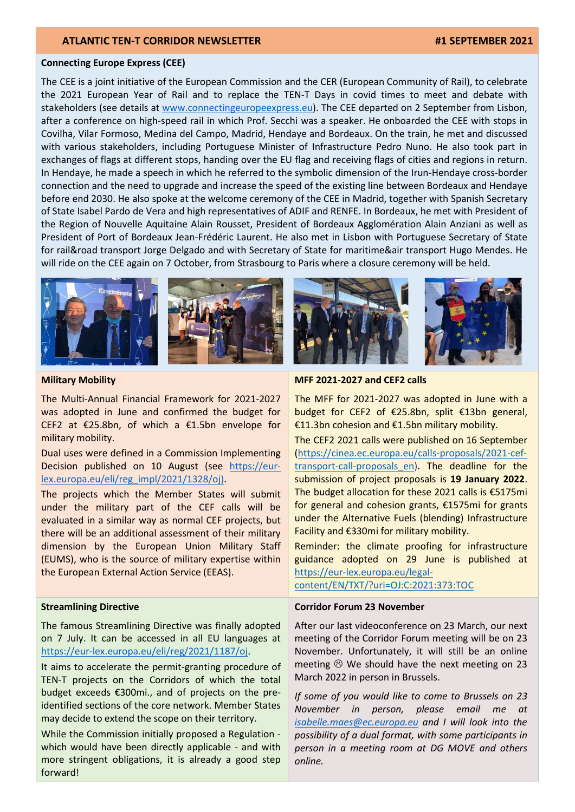#### Connecting Europe Express (CEE)

The CEE is a joint initiative of the European Commission and the CER (European Community of Rail), to celebrate the 2021 European Year of Rail and to replace the TEN-T Days in covid times to meet and debate with stakeholders (see details at www.connectingeuropeexpress.eu). The CEE departed on 2 September from Lisbon, after a conference on high-speed rail in which Prof. Secchi was a speaker. He onboarded the CEE with stops in Covilha, Vilar Formoso, Medina del Campo, Madrid, Hendaye and Bordeaux. On the train, he met and discussed with various stakeholders, including Portuguese Minister of Infrastructure Pedro Nuno. He also took part in exchanges of flags at different stops, handing over the EU flag and receiving flags of cities and regions in return. In Hendaye, he made a speech in which he referred to the symbolic dimension of the Irun-Hendaye cross-border connection and the need to upgrade and increase the speed of the existing line between Bordeaux and Hendaye before end 2030. He also spoke at the welcome ceremony of the CEE in Madrid, together with Spanish Secretary of State Isabel Pardo de Vera and high representatives of ADIF and RENFE. In Bordeaux, he met with President of the Region of Nouvelle Aquitaine Alain Rousset, President of Bordeaux Agglomération Alain Anziani as well as President of Port of Bordeaux Jean-Frédéric Laurent. He also met in Lisbon with Portuguese Secretary of State for rail&road transport Jorge Delgado and with Secretary of State for maritime&air transport Hugo Mendes. He will ride on the CEE again on 7 October, from Strasbourg to Paris where a closure ceremony will be held.



#### Military Mobility

The Multi-Annual Financial Framework for 2021-2027 was adopted in June and confirmed the budget for CEF2 at €25.8bn, of which a €1.5bn envelope for military mobility.

Dual uses were defined in a Commission Implementing Decision published on 10 August (see https://eurlex.europa.eu/eli/reg\_impl/2021/1328/oj).

The projects which the Member States will submit under the military part of the CEF calls will be evaluated in a similar way as normal CEF projects, but there will be an additional assessment of their military dimension by the European Union Military Staff (EUMS), who is the source of military expertise within the European External Action Service (EEAS).

#### Streamlining Directive

The famous Streamlining Directive was finally adopted on 7 July. It can be accessed in all EU languages at https://eur-lex.europa.eu/eli/reg/2021/1187/oj.

It aims to accelerate the permit-granting procedure of TEN-T projects on the Corridors of which the total budget exceeds €300mi., and of projects on the preidentified sections of the core network. Member States may decide to extend the scope on their territory.

While the Commission initially proposed a Regulation which would have been directly applicable - and with more stringent obligations, it is already a good step forward!



### MFF 2021-2027 and CEF2 calls

The MFF for 2021-2027 was adopted in June with a budget for CEF2 of €25.8bn, split €13bn general, €11.3bn cohesion and €1.5bn military mobility.

The CEF2 2021 calls were published on 16 September (https://cinea.ec.europa.eu/calls-proposals/2021-ceftransport-call-proposals en). The deadline for the submission of project proposals is 19 January 2022. The budget allocation for these 2021 calls is €5175mi for general and cohesion grants, €1575mi for grants under the Alternative Fuels (blending) Infrastructure Facility and €330mi for military mobility.

Reminder: the climate proofing for infrastructure guidance adopted on 29 June is published at https://eur-lex.europa.eu/legal-

content/EN/TXT/?uri=OJ:C:2021:373:TOC

### Corridor Forum 23 November

After our last videoconference on 23 March, our next meeting of the Corridor Forum meeting will be on 23 November. Unfortunately, it will still be an online meeting  $\odot$  We should have the next meeting on 23 March 2022 in person in Brussels.

If some of you would like to come to Brussels on 23 November in person, please email me at isabelle.maes@ec.europa.eu and I will look into the possibility of a dual format, with some participants in person in a meeting room at DG MOVE and others online.